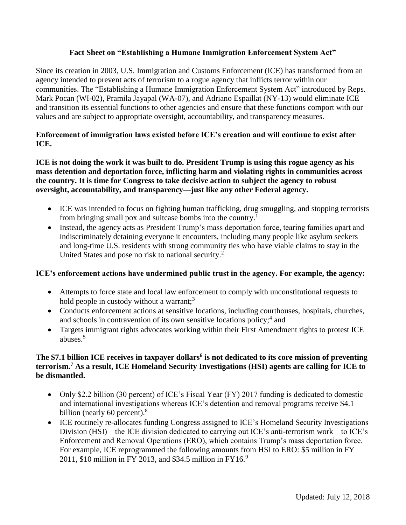# **Fact Sheet on "Establishing a Humane Immigration Enforcement System Act"**

Since its creation in 2003, U.S. Immigration and Customs Enforcement (ICE) has transformed from an agency intended to prevent acts of terrorism to a rogue agency that inflicts terror within our communities. The "Establishing a Humane Immigration Enforcement System Act" introduced by Reps. Mark Pocan (WI-02), Pramila Jayapal (WA-07), and Adriano Espaillat (NY-13) would eliminate ICE and transition its essential functions to other agencies and ensure that these functions comport with our values and are subject to appropriate oversight, accountability, and transparency measures.

# **Enforcement of immigration laws existed before ICE's creation and will continue to exist after ICE.**

# **ICE is not doing the work it was built to do. President Trump is using this rogue agency as his mass detention and deportation force, inflicting harm and violating rights in communities across the country. It is time for Congress to take decisive action to subject the agency to robust oversight, accountability, and transparency—just like any other Federal agency.**

- ICE was intended to focus on fighting human trafficking, drug smuggling, and stopping terrorists from bringing small pox and suitcase bombs into the country.<sup>1</sup>
- Instead, the agency acts as President Trump's mass deportation force, tearing families apart and indiscriminately detaining everyone it encounters, including many people like asylum seekers and long-time U.S. residents with strong community ties who have viable claims to stay in the United States and pose no risk to national security.<sup>2</sup>

#### **ICE's enforcement actions have undermined public trust in the agency. For example, the agency:**

- Attempts to force state and local law enforcement to comply with unconstitutional requests to hold people in custody without a warrant; $3$
- Conducts enforcement actions at sensitive locations, including courthouses, hospitals, churches, and schools in contravention of its own sensitive locations policy;<sup>4</sup> and
- Targets immigrant rights advocates working within their First Amendment rights to protest ICE abuses.<sup>5</sup>

### **The \$7.1 billion ICE receives in taxpayer dollars<sup>6</sup> is not dedicated to its core mission of preventing terrorism. <sup>7</sup> As a result, ICE Homeland Security Investigations (HSI) agents are calling for ICE to be dismantled.**

- Only \$2.2 billion (30 percent) of ICE's Fiscal Year (FY) 2017 funding is dedicated to domestic and international investigations whereas ICE's detention and removal programs receive \$4.1 billion (nearly 60 percent). $8$
- ICE routinely re-allocates funding Congress assigned to ICE's Homeland Security Investigations Division (HSI)—the ICE division dedicated to carrying out ICE's anti-terrorism work—to ICE's Enforcement and Removal Operations (ERO), which contains Trump's mass deportation force. For example, ICE reprogrammed the following amounts from HSI to ERO: \$5 million in FY 2011, \$10 million in FY 2013, and \$34.5 million in FY16.<sup>9</sup>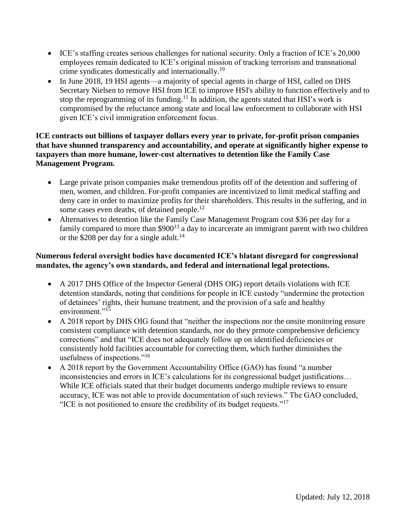- ICE's staffing creates serious challenges for national security. Only a fraction of ICE's 20,000 employees remain dedicated to ICE's original mission of tracking terrorism and transnational crime syndicates domestically and internationally.<sup>10</sup>
- In June 2018, 19 HSI agents—a majority of special agents in charge of HSI, called on DHS Secretary Nielsen to remove HSI from ICE to improve HSI's ability to function effectively and to stop the reprogramming of its funding.<sup>11</sup> In addition, the agents stated that HSI's work is compromised by the reluctance among state and local law enforcement to collaborate with HSI given ICE's civil immigration enforcement focus.

# **ICE contracts out billions of taxpayer dollars every year to private, for-profit prison companies that have shunned transparency and accountability, and operate at significantly higher expense to taxpayers than more humane, lower-cost alternatives to detention like the Family Case Management Program.**

- Large private prison companies make tremendous profits off of the detention and suffering of men, women, and children. For-profit companies are incentivized to limit medical staffing and deny care in order to maximize profits for their shareholders. This results in the suffering, and in some cases even deaths, of detained people.<sup>12</sup>
- Alternatives to detention like the Family Case Management Program cost \$36 per day for a family compared to more than \$900<sup>13</sup> a day to incarcerate an immigrant parent with two children or the \$208 per day for a single adult.<sup>14</sup>

# **Numerous federal oversight bodies have documented ICE's blatant disregard for congressional mandates, the agency's own standards, and federal and international legal protections.**

- A 2017 DHS Office of the Inspector General (DHS OIG) report details violations with ICE detention standards, noting that conditions for people in ICE custody "undermine the protection of detainees' rights, their humane treatment, and the provision of a safe and healthy environment." $15$
- A 2018 report by DHS OIG found that "neither the inspections nor the onsite monitoring ensure consistent compliance with detention standards, nor do they prmote comprehensive deficiency corrections" and that "ICE does not adequately follow up on identified deficiencies or consistently hold facilities accountable for correcting them, which further diminishes the usefulness of inspections."<sup>16</sup>
- A 2018 report by the Government Accountability Office (GAO) has found "a number inconsistencies and errors in ICE's calculations for its congressional budget justifications… While ICE officials stated that their budget documents undergo multiple reviews to ensure accuracy, ICE was not able to provide documentation of such reviews." The GAO concluded, "ICE is not positioned to ensure the credibility of its budget requests."<sup>17</sup>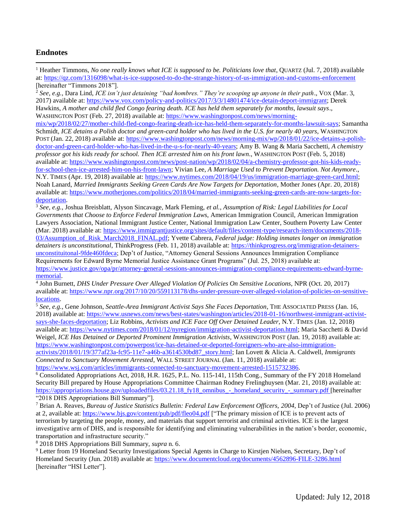#### **Endnotes**

 $\overline{\phantom{a}}$ 

<sup>1</sup> Heather Timmons, *No one really knows what ICE is supposed to be. Politicians love that*, QUARTZ (Jul. 7, 2018) available at:<https://qz.com/1316098/what-is-ice-supposed-to-do-the-strange-history-of-us-immigration-and-customs-enforcement> [hereinafter "Timmons 2018"].

<sup>2</sup> *See, e.g.,* Dara Lind, *ICE isn't just detaining "bad hombres." They're scooping up anyone in their path*., VOX (Mar. 3, 2017) available at: [https://www.vox.com/policy-and-politics/2017/3/3/14801474/ice-detain-deport-immigrant;](https://www.vox.com/policy-and-politics/2017/3/3/14801474/ice-detain-deport-immigrant) Derek Hawkins, *A mother and child fled Congo fearing death. ICE has held them separately for months, lawsuit says*., WASHINGTON POST (Feb. 27, 2018) available at: [https://www.washingtonpost.com/news/morning-](https://www.washingtonpost.com/news/morning-mix/wp/2018/02/27/mother-child-fled-congo-fearing-death-ice-has-held-them-separately-for-months-lawsuit-says)

[mix/wp/2018/02/27/mother-child-fled-congo-fearing-death-ice-has-held-them-separately-for-months-lawsuit-says;](https://www.washingtonpost.com/news/morning-mix/wp/2018/02/27/mother-child-fled-congo-fearing-death-ice-has-held-them-separately-for-months-lawsuit-says) Samantha Schmidt, *ICE detains a Polish doctor and green-card holder who has lived in the U.S. for nearly 40 years*, WASHINGTON POST (Jan. 22, 2018) available at: [https://www.washingtonpost.com/news/morning-mix/wp/2018/01/22/ice-detains-a-polish](https://www.washingtonpost.com/news/morning-mix/wp/2018/01/22/ice-detains-a-polish-doctor-and-green-card-holder-who-has-lived-in-the-u-s-for-nearly-40-years)[doctor-and-green-card-holder-who-has-lived-in-the-u-s-for-nearly-40-years;](https://www.washingtonpost.com/news/morning-mix/wp/2018/01/22/ice-detains-a-polish-doctor-and-green-card-holder-who-has-lived-in-the-u-s-for-nearly-40-years) Amy B. Wang & Maria Sacchetti, *A chemistry professor got his kids ready for school. Then ICE arrested him on his front lawn*., WASHINGTON POST (Feb. 5, 2018) available at: [https://www.washingtonpost.com/news/post-nation/wp/2018/02/04/a-chemistry-professor-got-his-kids-ready](https://www.washingtonpost.com/news/post-nation/wp/2018/02/04/a-chemistry-professor-got-his-kids-ready-for-school-then-ice-arrested-him-on-his-front-lawn)[for-school-then-ice-arrested-him-on-his-front-lawn;](https://www.washingtonpost.com/news/post-nation/wp/2018/02/04/a-chemistry-professor-got-his-kids-ready-for-school-then-ice-arrested-him-on-his-front-lawn) Vivian Lee, *A Marriage Used to Prevent Deportation. Not Anymore*., N.Y. TIMES (Apr. 19, 2018) available at: [https://www.nytimes.com/2018/04/19/us/immigration-marriage-green-card.html;](https://www.nytimes.com/2018/04/19/us/immigration-marriage-green-card.html)  Noah Lanard, *Married Immigrants Seeking Green Cards Are Now Targets for Deportation*, Mother Jones (Apr. 20, 2018) available at: [https://www.motherjones.com/politics/2018/04/married-immigrants-seeking-green-cards-are-now-targets-for](https://www.motherjones.com/politics/2018/04/married-immigrants-seeking-green-cards-are-now-targets-for-deportation)[deportation.](https://www.motherjones.com/politics/2018/04/married-immigrants-seeking-green-cards-are-now-targets-for-deportation)

<sup>3</sup> *See, e.g.*, Joshua Breisblatt, Alyson Sincavage, Mark Fleming, *et al.*, *Assumption of Risk: Legal Liabilities for Local Governments that Choose to Enforce Federal Immigration Laws*, American Immigration Council, American Immigration Lawyers Association, National Immigrant Justice Center, National Immigration Law Center, Southern Poverty Law Center (Mar. 2018) available at: [https://www.immigrantjustice.org/sites/default/files/content-type/research-item/documents/2018-](https://www.immigrantjustice.org/sites/default/files/content-type/research-item/documents/2018-03/Assumption_of_Risk_March2018_FINAL.pdf) [03/Assumption\\_of\\_Risk\\_March2018\\_FINAL.pdf;](https://www.immigrantjustice.org/sites/default/files/content-type/research-item/documents/2018-03/Assumption_of_Risk_March2018_FINAL.pdf) Yvette Cabrera, *Federal judge: Holding inmates longer on immigration detainers is unconstitutional*, ThinkProgress (Feb. 11, 2018) available at: [https://thinkprogress.org/immigration-detainers](https://thinkprogress.org/immigration-detainers-unconstituitonal-9fde460fdeca)[unconstituitonal-9fde460fdeca;](https://thinkprogress.org/immigration-detainers-unconstituitonal-9fde460fdeca) Dep't of Justice, "Attorney General Sessions Announces Immigration Compliance Requirements for Edward Byrne Memorial Justice Assistance Grant Programs" (Jul. 25, 2018) available at: [https://www.justice.gov/opa/pr/attorney-general-sessions-announces-immigration-compliance-requirements-edward-byrne](https://www.justice.gov/opa/pr/attorney-general-sessions-announces-immigration-compliance-requirements-edward-byrne-memorial)[memorial.](https://www.justice.gov/opa/pr/attorney-general-sessions-announces-immigration-compliance-requirements-edward-byrne-memorial)

4 John Burnett, *DHS Under Pressure Over Alleged Violation Of Policies On Sensitive Locations*, NPR (Oct. 20, 2017) available at: [https://www.npr.org/2017/10/20/559113178/dhs-under-pressure-over-alleged-violation-of-policies-on-sensitive](https://www.npr.org/2017/10/20/559113178/dhs-under-pressure-over-alleged-violation-of-policies-on-sensitive-locations)[locations.](https://www.npr.org/2017/10/20/559113178/dhs-under-pressure-over-alleged-violation-of-policies-on-sensitive-locations)

<sup>5</sup> *See, e.g.,* Gene Johnson, *Seattle-Area Immigrant Activist Says She Faces Deportation*, THE ASSOCIATED PRESS (Jan. 16, 2018) available at: [https://www.usnews.com/news/best-states/washington/articles/2018-01-16/northwest-immigrant-activist](https://www.usnews.com/news/best-states/washington/articles/2018-01-16/northwest-immigrant-activist-says-she-faces-deportation)[says-she-faces-deportation;](https://www.usnews.com/news/best-states/washington/articles/2018-01-16/northwest-immigrant-activist-says-she-faces-deportation) Liz Robbins, *Activists and ICE Face Off Over Detained Leader*, N.Y. TIMES (Jan. 12, 2018) available at: [https://www.nytimes.com/2018/01/12/nyregion/immigration-activist-deportation.html;](https://www.nytimes.com/2018/01/12/nyregion/immigration-activist-deportation.html) Maria Sacchetti & David Weigel, *ICE Has Detained or Deported Prominent Immigration Activists*, WASHINGTON POST (Jan. 19, 2018) available at: [https://www.washingtonpost.com/powerpost/ice-has-detained-or-deported-foreigners-who-are-also-immigration](https://www.washingtonpost.com/powerpost/ice-has-detained-or-deported-foreigners-who-are-also-immigration-activists/2018/01/19/377af23a-fc95-11e7-a46b-a3614530bd87_story.html)[activists/2018/01/19/377af23a-fc95-11e7-a46b-a3614530bd87\\_story.html;](https://www.washingtonpost.com/powerpost/ice-has-detained-or-deported-foreigners-who-are-also-immigration-activists/2018/01/19/377af23a-fc95-11e7-a46b-a3614530bd87_story.html) Ian Lovett & Alicia A. Caldwell, *Immigrants* 

*Connected to Sanctuary Movement Arrested*, WALL STREET JOURNAL (Jan. 11, 2018) available at: [https://www.wsj.com/articles/immigrants-connected-to-sanctuary-movement-arrested-1515732386.](https://www.wsj.com/articles/immigrants-connected-to-sanctuary-movement-arrested-1515732386)

<sup>6</sup> Consolidated Appropriations Act, 2018, H.R. 1625, P.L. No. 115-141, 115th Cong., Summary of the FY 2018 Homeland Security Bill prepared by House Appropriations Committee Chairman Rodney Frelinghuysen (Mar. 21, 2018) available at: [https://appropriations.house.gov/uploadedfiles/03.21.18\\_fy18\\_omnibus\\_-\\_homeland\\_security\\_-\\_summary.pdf](https://appropriations.house.gov/uploadedfiles/03.21.18_fy18_omnibus_-_homeland_security_-_summary.pdf) [hereinafter "2018 DHS Appropriations Bill Summary"].

<sup>7</sup> Brian A. Reaves, *Bureau of Justice Statistics Bulletin: Federal Law Enforcement Officers, 2004*, Dep't of Justice (Jul. 2006) at 2, available at:<https://www.bjs.gov/content/pub/pdf/fleo04.pdf> ["The primary mission of ICE is to prevent acts of terrorism by targeting the people, money, and materials that support terrorist and criminal activities. ICE is the largest investigative arm of DHS, and is responsible for identifying and eliminating vulnerabilities in the nation's border, economic, transportation and infrastructure security."

<sup>8</sup> 2018 DHS Appropriations Bill Summary, *supra* n. 6.

<sup>9</sup> Letter from 19 Homeland Security Investigations Special Agents in Charge to Kirstjen Nielsen, Secretary, Dep't of Homeland Security (Jun. 2018) available at:<https://www.documentcloud.org/documents/4562896-FILE-3286.html> [hereinafter "HSI Letter"].